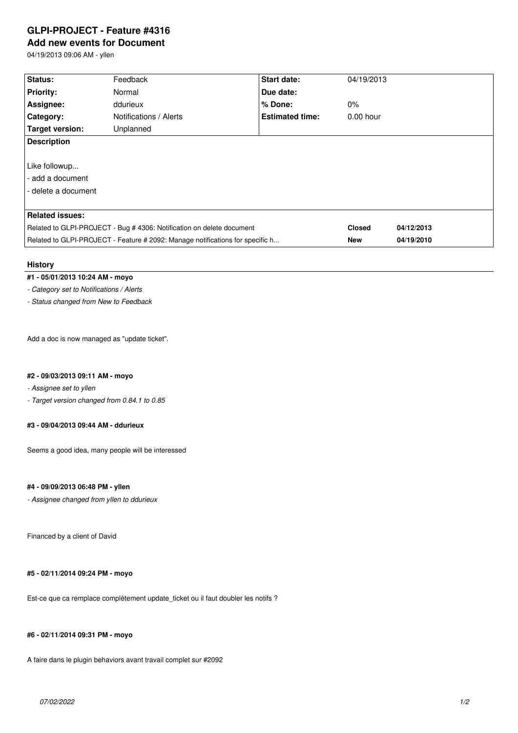## **GLPI-PROJECT - Feature #4316**

# **Add new events for Document**

04/19/2013 09:06 AM - yllen

| Status:                                                                       | Feedback               | Start date:            | 04/19/2013    |            |
|-------------------------------------------------------------------------------|------------------------|------------------------|---------------|------------|
| <b>Priority:</b>                                                              | Normal                 | Due date:              |               |            |
| Assignee:                                                                     | ddurieux               | $%$ Done:              | $0\%$         |            |
| <b>Category:</b>                                                              | Notifications / Alerts | <b>Estimated time:</b> | $0.00$ hour   |            |
| Target version:                                                               | Unplanned              |                        |               |            |
| <b>Description</b>                                                            |                        |                        |               |            |
|                                                                               |                        |                        |               |            |
| Like followup                                                                 |                        |                        |               |            |
| - add a document                                                              |                        |                        |               |            |
| - delete a document                                                           |                        |                        |               |            |
|                                                                               |                        |                        |               |            |
| <b>Related issues:</b>                                                        |                        |                        |               |            |
| Related to GLPI-PROJECT - Bug # 4306: Notification on delete document         |                        |                        | <b>Closed</b> | 04/12/2013 |
| Related to GLPI-PROJECT - Feature # 2092: Manage notifications for specific h |                        |                        | <b>New</b>    | 04/19/2010 |

#### **History**

### **#1 - 05/01/2013 10:24 AM - moyo**

*- Category set to Notifications / Alerts*

*- Status changed from New to Feedback*

Add a doc is now managed as "update ticket".

#### **#2 - 09/03/2013 09:11 AM - moyo**

*- Assignee set to yllen*

*- Target version changed from 0.84.1 to 0.85*

### **#3 - 09/04/2013 09:44 AM - ddurieux**

Seems a good idea, many people will be interessed

#### **#4 - 09/09/2013 06:48 PM - yllen**

*- Assignee changed from yllen to ddurieux*

Financed by a client of David

#### **#5 - 02/11/2014 09:24 PM - moyo**

Est-ce que ca remplace complètement update\_ticket ou il faut doubler les notifs ?

#### **#6 - 02/11/2014 09:31 PM - moyo**

A faire dans le plugin behaviors avant travail complet sur #2092